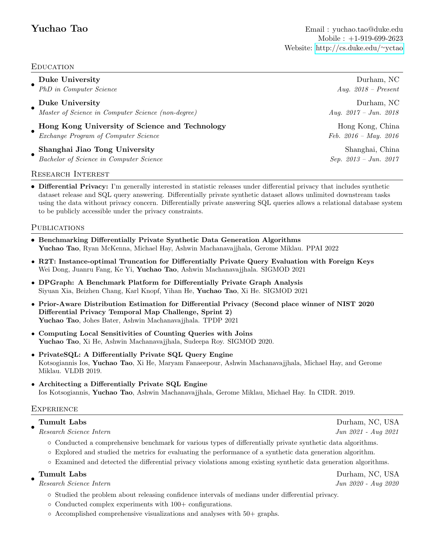## **EDUCATION**

| <b>Duke University</b>                             | Durham, NC              |
|----------------------------------------------------|-------------------------|
| PhD in Computer Science                            | Aug. $2018$ – Present   |
| Duke University                                    | Durham, NC              |
| Master of Science in Computer Science (non-degree) | Aug. $2017 - Jun.$ 2018 |
| Hong Kong University of Science and Technology     | Hong Kong, China        |
| Exchange Program of Computer Science               | Feb. $2016 - May. 2016$ |
| Shanghai Jiao Tong University                      | Shanghai, China         |
| Bachelor of Science in Computer Science            | $Sep. 2013 - Jun. 2017$ |

## Research Interest

• Differential Privacy: I'm generally interested in statistic releases under differential privacy that includes synthetic dataset release and SQL query answering. Differentially private synthetic dataset allows unlimited downstream tasks using the data without privacy concern. Differentially private answering SQL queries allows a relational database system to be publicly accessible under the privacy constraints.

## **PUBLICATIONS**

- Benchmarking Differentially Private Synthetic Data Generation Algorithms Yuchao Tao, Ryan McKenna, Michael Hay, Ashwin Machanavajjhala, Gerome Miklau. PPAI 2022
- R2T: Instance-optimal Truncation for Differentially Private Query Evaluation with Foreign Keys Wei Dong, Juanru Fang, Ke Yi, Yuchao Tao, Ashwin Machanavajjhala. SIGMOD 2021
- DPGraph: A Benchmark Platform for Differentially Private Graph Analysis Siyuan Xia, Beizhen Chang, Karl Knopf, Yihan He, Yuchao Tao, Xi He. SIGMOD 2021
- Prior-Aware Distribution Estimation for Differential Privacy (Second place winner of NIST 2020 Differential Privacy Temporal Map Challenge, Sprint 2) Yuchao Tao, Johes Bater, Ashwin Machanavajjhala. TPDP 2021
- Computing Local Sensitivities of Counting Queries with Joins Yuchao Tao, Xi He, Ashwin Machanavajjhala, Sudeepa Roy. SIGMOD 2020.
- PrivateSQL: A Differentially Private SQL Query Engine Kotsogiannis Ios, Yuchao Tao, Xi He, Maryam Fanaeepour, Ashwin Machanavajjhala, Michael Hay, and Gerome Miklau. VLDB 2019.
- Architecting a Differentially Private SQL Engine Ios Kotsogiannis, Yuchao Tao, Ashwin Machanavajjhala, Gerome Miklau, Michael Hay. In CIDR. 2019.

## **EXPERIENCE**

### • Tumult Labs Durham, NC, USA

- Research Science Intern Jun 2021 Aug 2021
	- Conducted a comprehensive benchmark for various types of differentially private synthetic data algorithms.
	- Explored and studied the metrics for evaluating the performance of a synthetic data generation algorithm.
	- Examined and detected the differential privacy violations among existing synthetic data generation algorithms.

• Research Science Intern Jun 2020 - Aug 2020

- Studied the problem about releasing confidence intervals of medians under differential privacy.
- Conducted complex experiments with 100+ configurations.
- Accomplished comprehensive visualizations and analyses with 50+ graphs.

Tumult Labs Durham, NC, USA